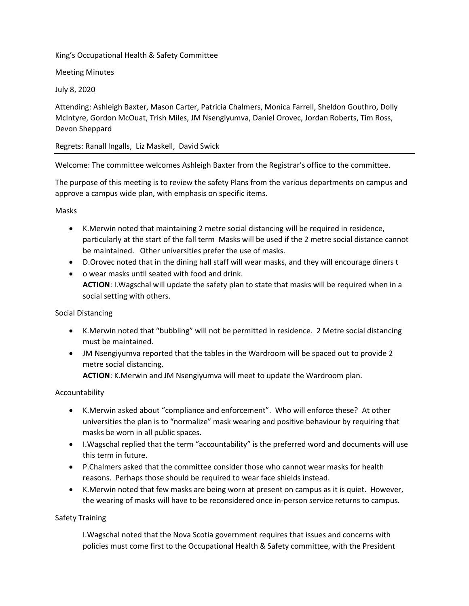# King's Occupational Health & Safety Committee

# Meeting Minutes

July 8, 2020

Attending: Ashleigh Baxter, Mason Carter, Patricia Chalmers, Monica Farrell, Sheldon Gouthro, Dolly McIntyre, Gordon McOuat, Trish Miles, JM Nsengiyumva, Daniel Orovec, Jordan Roberts, Tim Ross, Devon Sheppard

# Regrets: Ranall Ingalls, Liz Maskell, David Swick

Welcome: The committee welcomes Ashleigh Baxter from the Registrar's office to the committee.

The purpose of this meeting is to review the safety Plans from the various departments on campus and approve a campus wide plan, with emphasis on specific items.

Masks

- K.Merwin noted that maintaining 2 metre social distancing will be required in residence, particularly at the start of the fall term Masks will be used if the 2 metre social distance cannot be maintained. Other universities prefer the use of masks.
- D.Orovec noted that in the dining hall staff will wear masks, and they will encourage diners t
- o wear masks until seated with food and drink. **ACTION**: I.Wagschal will update the safety plan to state that masks will be required when in a social setting with others.

# Social Distancing

- K.Merwin noted that "bubbling" will not be permitted in residence. 2 Metre social distancing must be maintained.
- JM Nsengiyumva reported that the tables in the Wardroom will be spaced out to provide 2 metre social distancing. **ACTION**: K.Merwin and JM Nsengiyumva will meet to update the Wardroom plan.

# Accountability

- K.Merwin asked about "compliance and enforcement". Who will enforce these? At other universities the plan is to "normalize" mask wearing and positive behaviour by requiring that masks be worn in all public spaces.
- I.Wagschal replied that the term "accountability" is the preferred word and documents will use this term in future.
- P.Chalmers asked that the committee consider those who cannot wear masks for health reasons. Perhaps those should be required to wear face shields instead.
- K.Merwin noted that few masks are being worn at present on campus as it is quiet. However, the wearing of masks will have to be reconsidered once in-person service returns to campus.

# Safety Training

I.Wagschal noted that the Nova Scotia government requires that issues and concerns with policies must come first to the Occupational Health & Safety committee, with the President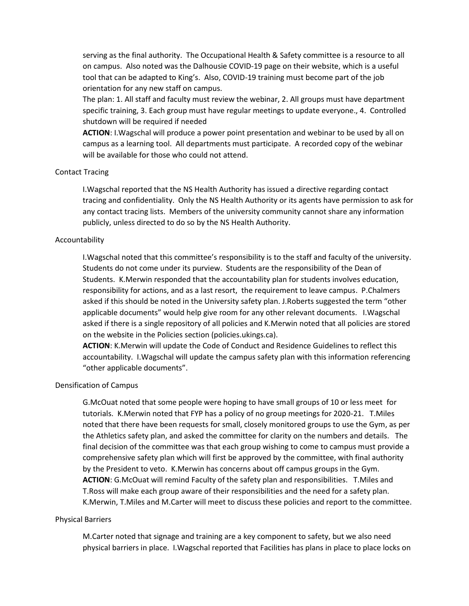serving as the final authority. The Occupational Health & Safety committee is a resource to all on campus. Also noted was the Dalhousie COVID-19 page on their website, which is a useful tool that can be adapted to King's. Also, COVID-19 training must become part of the job orientation for any new staff on campus.

The plan: 1. All staff and faculty must review the webinar, 2. All groups must have department specific training, 3. Each group must have regular meetings to update everyone., 4. Controlled shutdown will be required if needed

**ACTION**: I.Wagschal will produce a power point presentation and webinar to be used by all on campus as a learning tool. All departments must participate. A recorded copy of the webinar will be available for those who could not attend.

## Contact Tracing

I.Wagschal reported that the NS Health Authority has issued a directive regarding contact tracing and confidentiality. Only the NS Health Authority or its agents have permission to ask for any contact tracing lists. Members of the university community cannot share any information publicly, unless directed to do so by the NS Health Authority.

## Accountability

I.Wagschal noted that this committee's responsibility is to the staff and faculty of the university. Students do not come under its purview. Students are the responsibility of the Dean of Students. K.Merwin responded that the accountability plan for students involves education, responsibility for actions, and as a last resort, the requirement to leave campus. P.Chalmers asked if this should be noted in the University safety plan. J.Roberts suggested the term "other applicable documents" would help give room for any other relevant documents. I.Wagschal asked if there is a single repository of all policies and K.Merwin noted that all policies are stored on the website in the Policies section (policies.ukings.ca).

**ACTION**: K.Merwin will update the Code of Conduct and Residence Guidelines to reflect this accountability. I.Wagschal will update the campus safety plan with this information referencing "other applicable documents".

#### Densification of Campus

G.McOuat noted that some people were hoping to have small groups of 10 or less meet for tutorials. K.Merwin noted that FYP has a policy of no group meetings for 2020-21. T.Miles noted that there have been requests for small, closely monitored groups to use the Gym, as per the Athletics safety plan, and asked the committee for clarity on the numbers and details. The final decision of the committee was that each group wishing to come to campus must provide a comprehensive safety plan which will first be approved by the committee, with final authority by the President to veto. K.Merwin has concerns about off campus groups in the Gym. **ACTION**: G.McOuat will remind Faculty of the safety plan and responsibilities. T.Miles and T.Ross will make each group aware of their responsibilities and the need for a safety plan. K.Merwin, T.Miles and M.Carter will meet to discuss these policies and report to the committee.

#### Physical Barriers

M.Carter noted that signage and training are a key component to safety, but we also need physical barriers in place. I.Wagschal reported that Facilities has plans in place to place locks on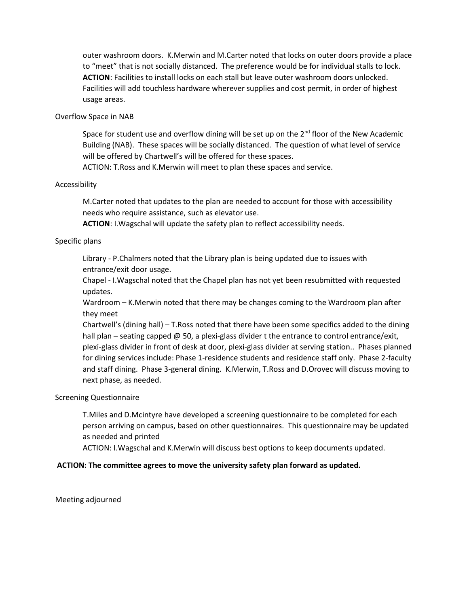outer washroom doors. K.Merwin and M.Carter noted that locks on outer doors provide a place to "meet" that is not socially distanced. The preference would be for individual stalls to lock. **ACTION**: Facilities to install locks on each stall but leave outer washroom doors unlocked. Facilities will add touchless hardware wherever supplies and cost permit, in order of highest usage areas.

## Overflow Space in NAB

Space for student use and overflow dining will be set up on the  $2<sup>nd</sup>$  floor of the New Academic Building (NAB). These spaces will be socially distanced. The question of what level of service will be offered by Chartwell's will be offered for these spaces.

ACTION: T.Ross and K.Merwin will meet to plan these spaces and service.

## Accessibility

M.Carter noted that updates to the plan are needed to account for those with accessibility needs who require assistance, such as elevator use.

**ACTION**: I.Wagschal will update the safety plan to reflect accessibility needs.

## Specific plans

Library - P.Chalmers noted that the Library plan is being updated due to issues with entrance/exit door usage.

Chapel - I.Wagschal noted that the Chapel plan has not yet been resubmitted with requested updates.

Wardroom – K.Merwin noted that there may be changes coming to the Wardroom plan after they meet

Chartwell's (dining hall) – T.Ross noted that there have been some specifics added to the dining hall plan – seating capped @ 50, a plexi-glass divider t the entrance to control entrance/exit, plexi-glass divider in front of desk at door, plexi-glass divider at serving station.. Phases planned for dining services include: Phase 1-residence students and residence staff only. Phase 2-faculty and staff dining. Phase 3-general dining. K.Merwin, T.Ross and D.Orovec will discuss moving to next phase, as needed.

#### Screening Questionnaire

T.Miles and D.Mcintyre have developed a screening questionnaire to be completed for each person arriving on campus, based on other questionnaires. This questionnaire may be updated as needed and printed

ACTION: I.Wagschal and K.Merwin will discuss best options to keep documents updated.

# **ACTION: The committee agrees to move the university safety plan forward as updated.**

Meeting adjourned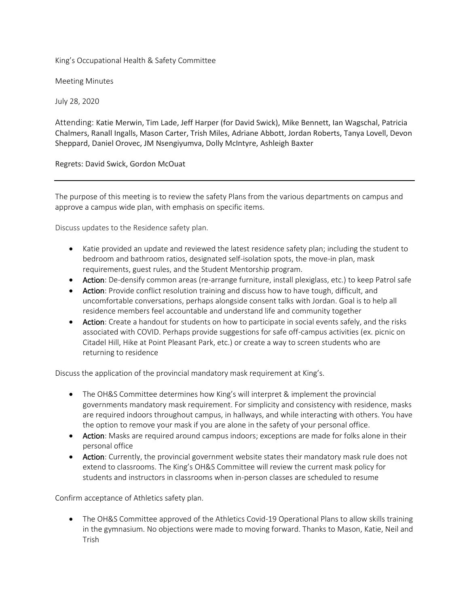King's Occupational Health & Safety Committee

Meeting Minutes

July 28, 2020

Attending: Katie Merwin, Tim Lade, Jeff Harper (for David Swick), Mike Bennett, Ian Wagschal, Patricia Chalmers, Ranall Ingalls, Mason Carter, Trish Miles, Adriane Abbott, Jordan Roberts, Tanya Lovell, Devon Sheppard, Daniel Orovec, JM Nsengiyumva, Dolly McIntyre, Ashleigh Baxter

Regrets: David Swick, Gordon McOuat

The purpose of this meeting is to review the safety Plans from the various departments on campus and approve a campus wide plan, with emphasis on specific items.

Discuss updates to the Residence safety plan.

- Katie provided an update and reviewed the latest residence safety plan; including the student to bedroom and bathroom ratios, designated self-isolation spots, the move-in plan, mask requirements, guest rules, and the Student Mentorship program.
- Action: De-densify common areas (re-arrange furniture, install plexiglass, etc.) to keep Patrol safe
- Action: Provide conflict resolution training and discuss how to have tough, difficult, and uncomfortable conversations, perhaps alongside consent talks with Jordan. Goal is to help all residence members feel accountable and understand life and community together
- Action: Create a handout for students on how to participate in social events safely, and the risks associated with COVID. Perhaps provide suggestions for safe off-campus activities (ex. picnic on Citadel Hill, Hike at Point Pleasant Park, etc.) or create a way to screen students who are returning to residence

Discuss the application of the provincial mandatory mask requirement at King's.

- The OH&S Committee determines how King's will interpret & implement the provincial governments mandatory mask requirement. For simplicity and consistency with residence, masks are required indoors throughout campus, in hallways, and while interacting with others. You have the option to remove your mask if you are alone in the safety of your personal office.
- Action: Masks are required around campus indoors; exceptions are made for folks alone in their personal office
- Action: Currently, the provincial government website states their mandatory mask rule does not extend to classrooms. The King's OH&S Committee will review the current mask policy for students and instructors in classrooms when in-person classes are scheduled to resume

Confirm acceptance of Athletics safety plan.

• The OH&S Committee approved of the Athletics Covid-19 Operational Plans to allow skills training in the gymnasium. No objections were made to moving forward. Thanks to Mason, Katie, Neil and Trish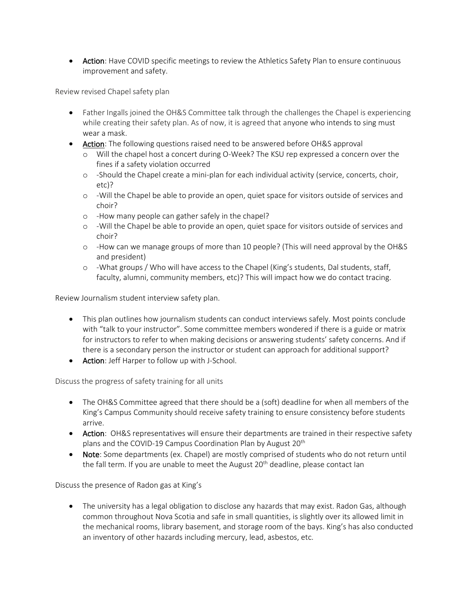• Action: Have COVID specific meetings to review the Athletics Safety Plan to ensure continuous improvement and safety.

Review revised Chapel safety plan

- Father Ingalls joined the OH&S Committee talk through the challenges the Chapel is experiencing while creating their safety plan. As of now, it is agreed that anyone who intends to sing must wear a mask.
- Action: The following questions raised need to be answered before OH&S approval
	- o Will the chapel host a concert during O-Week? The KSU rep expressed a concern over the fines if a safety violation occurred
	- o -Should the Chapel create a mini-plan for each individual activity (service, concerts, choir, etc)?
	- o -Will the Chapel be able to provide an open, quiet space for visitors outside of services and choir?
	- o -How many people can gather safely in the chapel?
	- o -Will the Chapel be able to provide an open, quiet space for visitors outside of services and choir?
	- o -How can we manage groups of more than 10 people? (This will need approval by the OH&S and president)
	- o -What groups / Who will have access to the Chapel (King's students, Dal students, staff, faculty, alumni, community members, etc)? This will impact how we do contact tracing.

Review Journalism student interview safety plan.

- This plan outlines how journalism students can conduct interviews safely. Most points conclude with "talk to your instructor". Some committee members wondered if there is a guide or matrix for instructors to refer to when making decisions or answering students' safety concerns. And if there is a secondary person the instructor or student can approach for additional support?
- Action: Jeff Harper to follow up with J-School.

Discuss the progress of safety training for all units

- The OH&S Committee agreed that there should be a (soft) deadline for when all members of the King's Campus Community should receive safety training to ensure consistency before students arrive.
- Action: OH&S representatives will ensure their departments are trained in their respective safety plans and the COVID-19 Campus Coordination Plan by August 20<sup>th</sup>
- Note: Some departments (ex. Chapel) are mostly comprised of students who do not return until the fall term. If you are unable to meet the August  $20<sup>th</sup>$  deadline, please contact Ian

Discuss the presence of Radon gas at King's

• The university has a legal obligation to disclose any hazards that may exist. Radon Gas, although common throughout Nova Scotia and safe in small quantities, is slightly over its allowed limit in the mechanical rooms, library basement, and storage room of the bays. King's has also conducted an inventory of other hazards including mercury, lead, asbestos, etc.